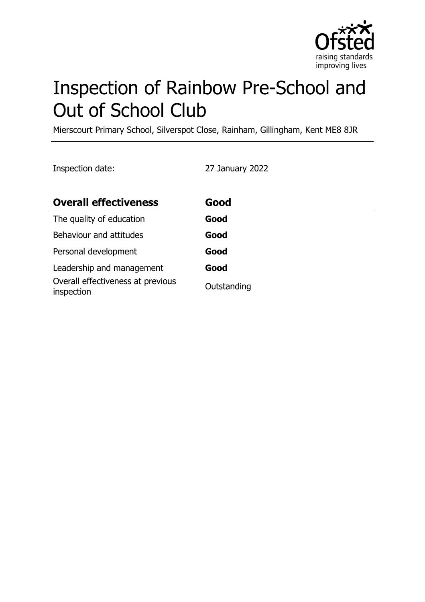

# Inspection of Rainbow Pre-School and Out of School Club

Mierscourt Primary School, Silverspot Close, Rainham, Gillingham, Kent ME8 8JR

Inspection date: 27 January 2022

| <b>Overall effectiveness</b>                    | Good        |
|-------------------------------------------------|-------------|
| The quality of education                        | Good        |
| Behaviour and attitudes                         | Good        |
| Personal development                            | Good        |
| Leadership and management                       | Good        |
| Overall effectiveness at previous<br>inspection | Outstanding |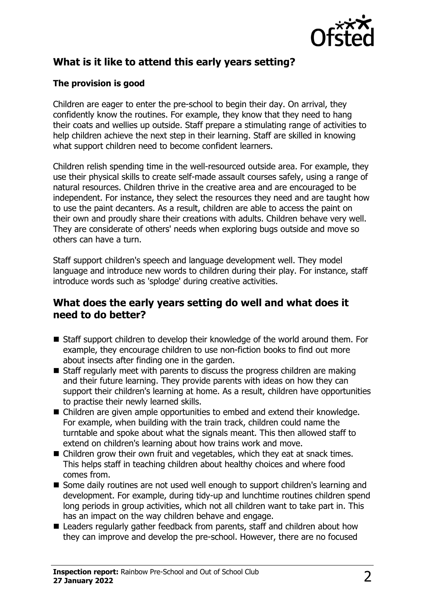

# **What is it like to attend this early years setting?**

#### **The provision is good**

Children are eager to enter the pre-school to begin their day. On arrival, they confidently know the routines. For example, they know that they need to hang their coats and wellies up outside. Staff prepare a stimulating range of activities to help children achieve the next step in their learning. Staff are skilled in knowing what support children need to become confident learners.

Children relish spending time in the well-resourced outside area. For example, they use their physical skills to create self-made assault courses safely, using a range of natural resources. Children thrive in the creative area and are encouraged to be independent. For instance, they select the resources they need and are taught how to use the paint decanters. As a result, children are able to access the paint on their own and proudly share their creations with adults. Children behave very well. They are considerate of others' needs when exploring bugs outside and move so others can have a turn.

Staff support children's speech and language development well. They model language and introduce new words to children during their play. For instance, staff introduce words such as 'splodge' during creative activities.

#### **What does the early years setting do well and what does it need to do better?**

- Staff support children to develop their knowledge of the world around them. For example, they encourage children to use non-fiction books to find out more about insects after finding one in the garden.
- $\blacksquare$  Staff regularly meet with parents to discuss the progress children are making and their future learning. They provide parents with ideas on how they can support their children's learning at home. As a result, children have opportunities to practise their newly learned skills.
- $\blacksquare$  Children are given ample opportunities to embed and extend their knowledge. For example, when building with the train track, children could name the turntable and spoke about what the signals meant. This then allowed staff to extend on children's learning about how trains work and move.
- $\blacksquare$  Children grow their own fruit and vegetables, which they eat at snack times. This helps staff in teaching children about healthy choices and where food comes from.
- Some daily routines are not used well enough to support children's learning and development. For example, during tidy-up and lunchtime routines children spend long periods in group activities, which not all children want to take part in. This has an impact on the way children behave and engage.
- Leaders regularly gather feedback from parents, staff and children about how they can improve and develop the pre-school. However, there are no focused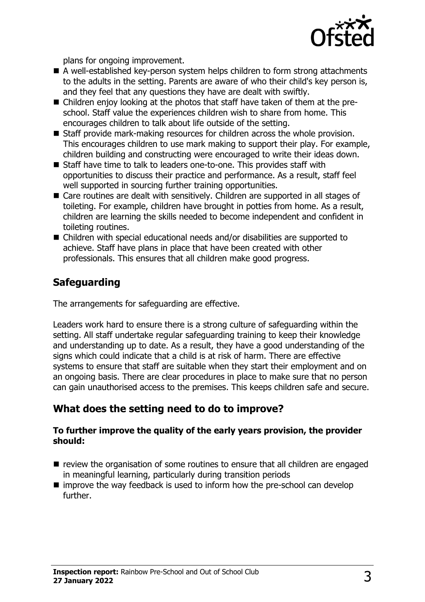

plans for ongoing improvement.

- A well-established key-person system helps children to form strong attachments to the adults in the setting. Parents are aware of who their child's key person is, and they feel that any questions they have are dealt with swiftly.
- Children enjoy looking at the photos that staff have taken of them at the preschool. Staff value the experiences children wish to share from home. This encourages children to talk about life outside of the setting.
- Staff provide mark-making resources for children across the whole provision. This encourages children to use mark making to support their play. For example, children building and constructing were encouraged to write their ideas down.
- Staff have time to talk to leaders one-to-one. This provides staff with opportunities to discuss their practice and performance. As a result, staff feel well supported in sourcing further training opportunities.
- Care routines are dealt with sensitively. Children are supported in all stages of toileting. For example, children have brought in potties from home. As a result, children are learning the skills needed to become independent and confident in toileting routines.
- $\blacksquare$  Children with special educational needs and/or disabilities are supported to achieve. Staff have plans in place that have been created with other professionals. This ensures that all children make good progress.

# **Safeguarding**

The arrangements for safeguarding are effective.

Leaders work hard to ensure there is a strong culture of safeguarding within the setting. All staff undertake regular safeguarding training to keep their knowledge and understanding up to date. As a result, they have a good understanding of the signs which could indicate that a child is at risk of harm. There are effective systems to ensure that staff are suitable when they start their employment and on an ongoing basis. There are clear procedures in place to make sure that no person can gain unauthorised access to the premises. This keeps children safe and secure.

## **What does the setting need to do to improve?**

#### **To further improve the quality of the early years provision, the provider should:**

- $\blacksquare$  review the organisation of some routines to ensure that all children are engaged in meaningful learning, particularly during transition periods
- $\blacksquare$  improve the way feedback is used to inform how the pre-school can develop further.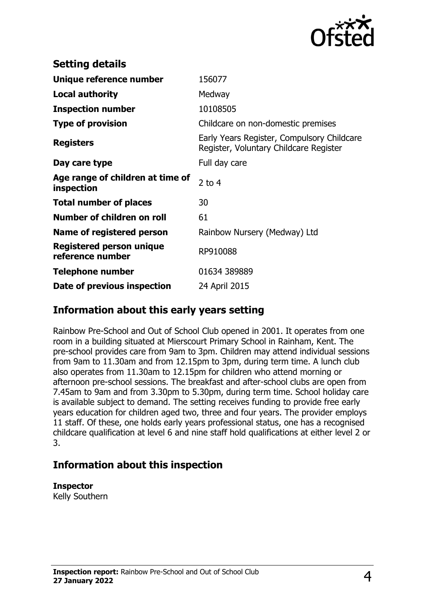

| <b>Setting details</b>                         |                                                                                      |
|------------------------------------------------|--------------------------------------------------------------------------------------|
| Unique reference number                        | 156077                                                                               |
| <b>Local authority</b>                         | Medway                                                                               |
| <b>Inspection number</b>                       | 10108505                                                                             |
| <b>Type of provision</b>                       | Childcare on non-domestic premises                                                   |
| <b>Registers</b>                               | Early Years Register, Compulsory Childcare<br>Register, Voluntary Childcare Register |
| Day care type                                  | Full day care                                                                        |
| Age range of children at time of<br>inspection | 2 to $4$                                                                             |
| <b>Total number of places</b>                  | 30                                                                                   |
| Number of children on roll                     | 61                                                                                   |
| Name of registered person                      | Rainbow Nursery (Medway) Ltd                                                         |
| Registered person unique<br>reference number   | RP910088                                                                             |
| <b>Telephone number</b>                        | 01634 389889                                                                         |
| Date of previous inspection                    | 24 April 2015                                                                        |

## **Information about this early years setting**

Rainbow Pre-School and Out of School Club opened in 2001. It operates from one room in a building situated at Mierscourt Primary School in Rainham, Kent. The pre-school provides care from 9am to 3pm. Children may attend individual sessions from 9am to 11.30am and from 12.15pm to 3pm, during term time. A lunch club also operates from 11.30am to 12.15pm for children who attend morning or afternoon pre-school sessions. The breakfast and after-school clubs are open from 7.45am to 9am and from 3.30pm to 5.30pm, during term time. School holiday care is available subject to demand. The setting receives funding to provide free early years education for children aged two, three and four years. The provider employs 11 staff. Of these, one holds early years professional status, one has a recognised childcare qualification at level 6 and nine staff hold qualifications at either level 2 or 3.

## **Information about this inspection**

**Inspector**

Kelly Southern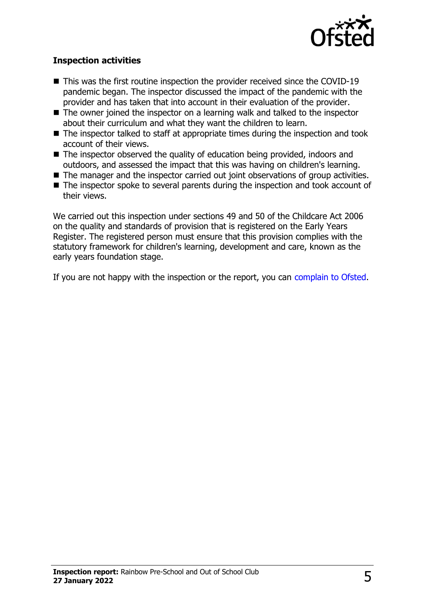

#### **Inspection activities**

- $\blacksquare$  This was the first routine inspection the provider received since the COVID-19 pandemic began. The inspector discussed the impact of the pandemic with the provider and has taken that into account in their evaluation of the provider.
- $\blacksquare$  The owner joined the inspector on a learning walk and talked to the inspector about their curriculum and what they want the children to learn.
- $\blacksquare$  The inspector talked to staff at appropriate times during the inspection and took account of their views.
- The inspector observed the quality of education being provided, indoors and outdoors, and assessed the impact that this was having on children's learning.
- $\blacksquare$  The manager and the inspector carried out joint observations of group activities.
- $\blacksquare$  The inspector spoke to several parents during the inspection and took account of their views.

We carried out this inspection under sections 49 and 50 of the Childcare Act 2006 on the quality and standards of provision that is registered on the Early Years Register. The registered person must ensure that this provision complies with the statutory framework for children's learning, development and care, known as the early years foundation stage.

If you are not happy with the inspection or the report, you can [complain to Ofsted](http://www.gov.uk/complain-ofsted-report).